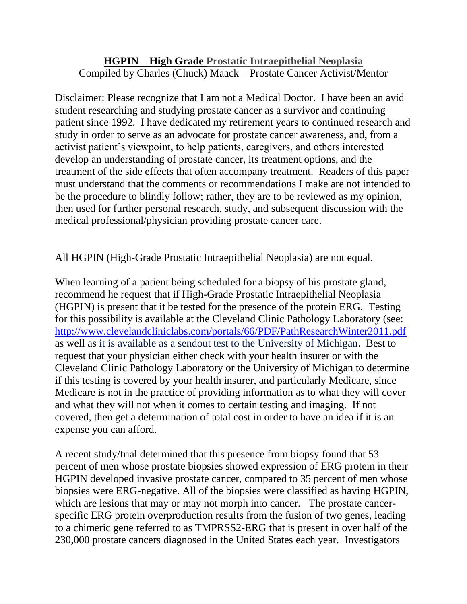## **HGPIN – High Grade Prostatic Intraepithelial Neoplasia** Compiled by Charles (Chuck) Maack – Prostate Cancer Activist/Mentor

Disclaimer: Please recognize that I am not a Medical Doctor. I have been an avid student researching and studying prostate cancer as a survivor and continuing patient since 1992. I have dedicated my retirement years to continued research and study in order to serve as an advocate for prostate cancer awareness, and, from a activist patient's viewpoint, to help patients, caregivers, and others interested develop an understanding of prostate cancer, its treatment options, and the treatment of the side effects that often accompany treatment. Readers of this paper must understand that the comments or recommendations I make are not intended to be the procedure to blindly follow; rather, they are to be reviewed as my opinion, then used for further personal research, study, and subsequent discussion with the medical professional/physician providing prostate cancer care.

All HGPIN (High-Grade Prostatic Intraepithelial Neoplasia) are not equal.

When learning of a patient being scheduled for a biopsy of his prostate gland, recommend he request that if High-Grade Prostatic Intraepithelial Neoplasia (HGPIN) is present that it be tested for the presence of the protein ERG. Testing for this possibility is available at the Cleveland Clinic Pathology Laboratory (see: <http://www.clevelandcliniclabs.com/portals/66/PDF/PathResearchWinter2011.pdf> as well as it is available as a sendout test to the University of Michigan. Best to request that your physician either check with your health insurer or with the Cleveland Clinic Pathology Laboratory or the University of Michigan to determine if this testing is covered by your health insurer, and particularly Medicare, since Medicare is not in the practice of providing information as to what they will cover and what they will not when it comes to certain testing and imaging. If not covered, then get a determination of total cost in order to have an idea if it is an expense you can afford.

A recent study/trial determined that this presence from biopsy found that 53 percent of men whose prostate biopsies showed expression of ERG protein in their HGPIN developed invasive prostate cancer, compared to 35 percent of men whose biopsies were ERG-negative. All of the biopsies were classified as having HGPIN, which are lesions that may or may not morph into cancer. The prostate cancerspecific ERG protein overproduction results from the fusion of two genes, leading to a chimeric gene referred to as TMPRSS2-ERG that is present in over half of the 230,000 prostate cancers diagnosed in the United States each year. Investigators